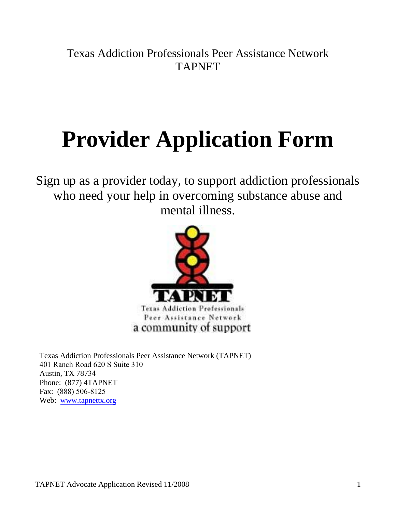Texas Addiction Professionals Peer Assistance Network TAPNET

# **Provider Application Form**

Sign up as a provider today, to support addiction professionals who need your help in overcoming substance abuse and mental illness.



Texas Addiction Professionals Peer Assistance Network (TAPNET) 401 Ranch Road 620 S Suite 310 Austin, TX 78734 Phone: (877) 4TAPNET Fax: (888) 506-8125 Web: [www.tapnettx.org](http://www.tapnettx.org/)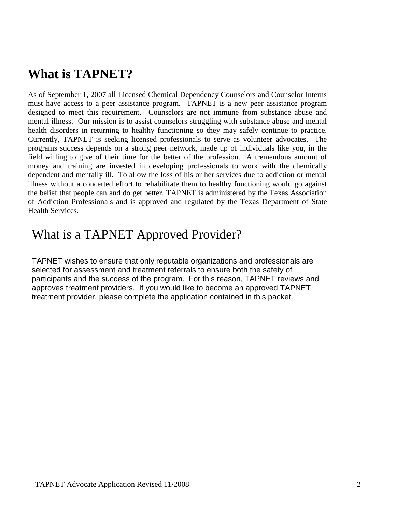## **What is TAPNET?**

As of September 1, 2007 all Licensed Chemical Dependency Counselors and Counselor Interns must have access to a peer assistance program. TAPNET is a new peer assistance program designed to meet this requirement. Counselors are not immune from substance abuse and mental illness. Our mission is to assist counselors struggling with substance abuse and mental health disorders in returning to healthy functioning so they may safely continue to practice. Currently, TAPNET is seeking licensed professionals to serve as volunteer advocates. The programs success depends on a strong peer network, made up of individuals like you, in the field willing to give of their time for the better of the profession. A tremendous amount of money and training are invested in developing professionals to work with the chemically dependent and mentally ill. To allow the loss of his or her services due to addiction or mental illness without a concerted effort to rehabilitate them to healthy functioning would go against the belief that people can and do get better. TAPNET is administered by the Texas Association of Addiction Professionals and is approved and regulated by the Texas Department of State Health Services.

### What is a TAPNET Approved Provider?

TAPNET wishes to ensure that only reputable organizations and professionals are selected for assessment and treatment referrals to ensure both the safety of participants and the success of the program. For this reason, TAPNET reviews and approves treatment providers. If you would like to become an approved TAPNET treatment provider, please complete the application contained in this packet.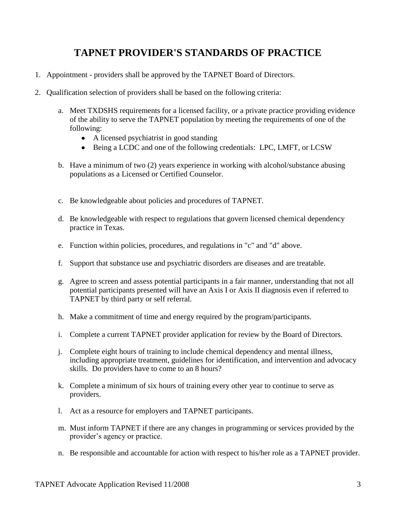#### **TAPNET PROVIDER'S STANDARDS OF PRACTICE**

- 1. Appointment providers shall be approved by the TAPNET Board of Directors.
- 2. Qualification selection of providers shall be based on the following criteria:
	- a. Meet TXDSHS requirements for a licensed facility, or a private practice providing evidence of the ability to serve the TAPNET population by meeting the requirements of one of the following:
		- A licensed psychiatrist in good standing
		- Being a LCDC and one of the following credentials: LPC, LMFT, or LCSW
	- b. Have a minimum of two (2) years experience in working with alcohol/substance abusing populations as a Licensed or Certified Counselor.
	- c. Be knowledgeable about policies and procedures of TAPNET.
	- d. Be knowledgeable with respect to regulations that govern licensed chemical dependency practice in Texas.
	- e. Function within policies, procedures, and regulations in "c" and "d" above.
	- f. Support that substance use and psychiatric disorders are diseases and are treatable.
	- g. Agree to screen and assess potential participants in a fair manner, understanding that not all potential participants presented will have an Axis I or Axis II diagnosis even if referred to TAPNET by third party or self referral.
	- h. Make a commitment of time and energy required by the program/participants.
	- i. Complete a current TAPNET provider application for review by the Board of Directors.
	- j. Complete eight hours of training to include chemical dependency and mental illness, including appropriate treatment, guidelines for identification, and intervention and advocacy skills. Do providers have to come to an 8 hours?
	- k. Complete a minimum of six hours of training every other year to continue to serve as providers.
	- l. Act as a resource for employers and TAPNET participants.
	- m. Must inform TAPNET if there are any changes in programming or services provided by the provider's agency or practice.
	- n. Be responsible and accountable for action with respect to his/her role as a TAPNET provider.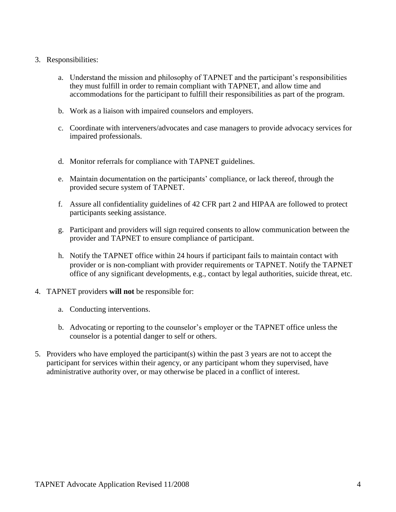- 3. Responsibilities:
	- a. Understand the mission and philosophy of TAPNET and the participant's responsibilities they must fulfill in order to remain compliant with TAPNET, and allow time and accommodations for the participant to fulfill their responsibilities as part of the program.
	- b. Work as a liaison with impaired counselors and employers.
	- c. Coordinate with interveners/advocates and case managers to provide advocacy services for impaired professionals.
	- d. Monitor referrals for compliance with TAPNET guidelines.
	- e. Maintain documentation on the participants' compliance, or lack thereof, through the provided secure system of TAPNET.
	- f. Assure all confidentiality guidelines of 42 CFR part 2 and HIPAA are followed to protect participants seeking assistance.
	- g. Participant and providers will sign required consents to allow communication between the provider and TAPNET to ensure compliance of participant.
	- h. Notify the TAPNET office within 24 hours if participant fails to maintain contact with provider or is non-compliant with provider requirements or TAPNET. Notify the TAPNET office of any significant developments, e.g., contact by legal authorities, suicide threat, etc.
- 4. TAPNET providers **will not** be responsible for:
	- a. Conducting interventions.
	- b. Advocating or reporting to the counselor's employer or the TAPNET office unless the counselor is a potential danger to self or others.
- 5. Providers who have employed the participant(s) within the past 3 years are not to accept the participant for services within their agency, or any participant whom they supervised, have administrative authority over, or may otherwise be placed in a conflict of interest.